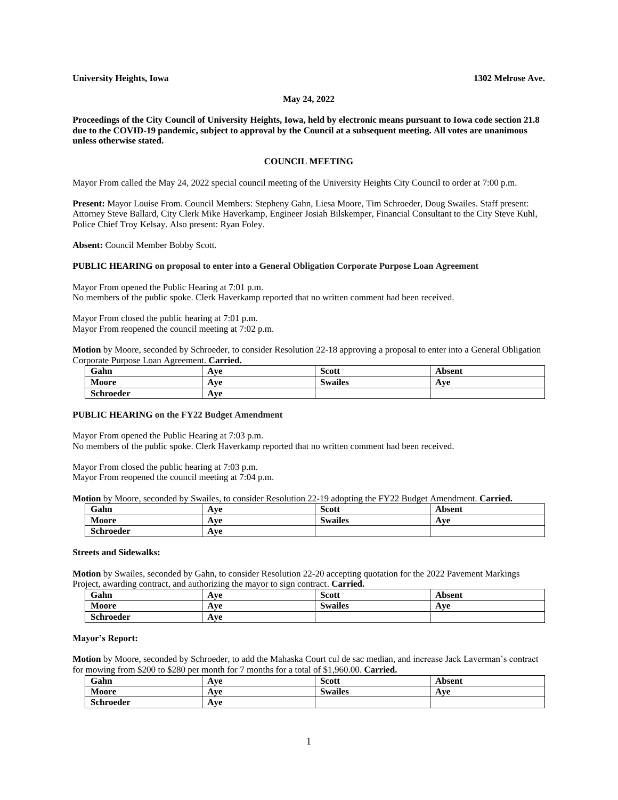## **May 24, 2022**

**Proceedings of the City Council of University Heights, Iowa, held by electronic means pursuant to Iowa code section 21.8 due to the COVID-19 pandemic, subject to approval by the Council at a subsequent meeting. All votes are unanimous unless otherwise stated.**

# **COUNCIL MEETING**

Mayor From called the May 24, 2022 special council meeting of the University Heights City Council to order at 7:00 p.m.

**Present:** Mayor Louise From. Council Members: Stepheny Gahn, Liesa Moore, Tim Schroeder, Doug Swailes. Staff present: Attorney Steve Ballard, City Clerk Mike Haverkamp, Engineer Josiah Bilskemper, Financial Consultant to the City Steve Kuhl, Police Chief Troy Kelsay. Also present: Ryan Foley.

**Absent:** Council Member Bobby Scott.

#### **PUBLIC HEARING on proposal to enter into a General Obligation Corporate Purpose Loan Agreement**

Mayor From opened the Public Hearing at 7:01 p.m. No members of the public spoke. Clerk Haverkamp reported that no written comment had been received.

Mayor From closed the public hearing at 7:01 p.m. Mayor From reopened the council meeting at 7:02 p.m.

**Motion** by Moore, seconded by Schroeder, to consider Resolution 22-18 approving a proposal to enter into a General Obligation Corporate Purpose Loan Agreement. **Carried.**

| Gahn             | L ττΩ<br><b>TIVE</b> | <b>Scott</b>       | Absent |
|------------------|----------------------|--------------------|--------|
| Moore            | lνe<br>AVC           | $\cdot$<br>Swailes | Ave    |
| <b>Schroeder</b> | Ave                  |                    |        |

### **PUBLIC HEARING on the FY22 Budget Amendment**

Mayor From opened the Public Hearing at 7:03 p.m. No members of the public spoke. Clerk Haverkamp reported that no written comment had been received.

Mayor From closed the public hearing at 7:03 p.m. Mayor From reopened the council meeting at 7:04 p.m.

**Motion** by Moore, seconded by Swailes, to consider Resolution 22-19 adopting the FY22 Budget Amendment. **Carried.**

| $\sim$ $\sim$<br>Gahn | 1 va<br>$\mathbf{u}$     | <b>Scott</b>             | . heamt<br>эсш                             |
|-----------------------|--------------------------|--------------------------|--------------------------------------------|
| Moore                 | lνe<br>$\mathbf{u}$      | $\cdot$<br>Swailes<br>DW | $\Lambda$ v $\Omega$<br><i><b>IXVV</b></i> |
| $\sim$<br>Schroeder   | 1 ve<br><br>$\mathbf{A}$ |                          |                                            |

#### **Streets and Sidewalks:**

**Motion** by Swailes, seconded by Gahn, to consider Resolution 22-20 accepting quotation for the 2022 Pavement Markings Project, awarding contract, and authorizing the mayor to sign contract. **Carried.**

| Gahn             | Ave | Scott          | Absent |
|------------------|-----|----------------|--------|
| Moore            | Ave | <b>Swailes</b> | Ave    |
| <b>Schroeder</b> | Ave |                |        |

### **Mayor's Report:**

**Motion** by Moore, seconded by Schroeder, to add the Mahaska Court cul de sac median, and increase Jack Laverman's contract for mowing from \$200 to \$280 per month for 7 months for a total of \$1,960.00. **Carried.**

| Gahn      | Ave | $\sim$<br>Scott    | Absent |
|-----------|-----|--------------------|--------|
| Moore     | Ave | $\cdot$<br>Swailes | Ave    |
| Schroeder | Ave |                    |        |